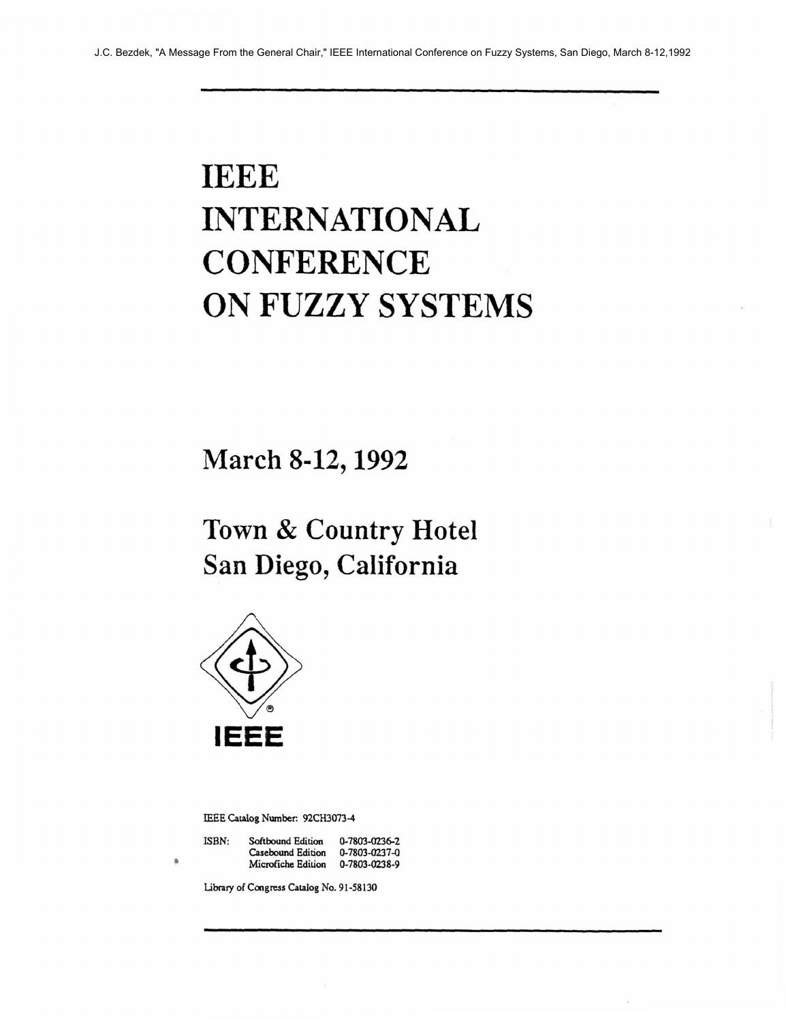## **IEEE INTERNATIONAL CONFERENCE ON FUZZY SYSTEMS**

**March 8-12,1992** 

**Town** & **Country Hotel San Diego, California** 



**IEEE Catalog Number: 92CH3073-4** 

| ISBN: | Softbound Edition  | $0 - 7803 - 0236 - 2$ |
|-------|--------------------|-----------------------|
|       | Casebound Edition  | $0 - 7803 - 0237 - 0$ |
|       | Microfiche Edition | 0-7803-0238-9         |

**Libnry of Congress Catalog No. 91-58130**